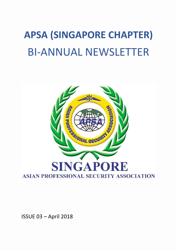# **APSA (SINGAPORE CHAPTER)** BI-ANNUAL NEWSLETTER



ISSUE 03 – April 2018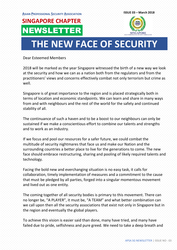# **SINGAPORE CHAPTER** NEWSLETTER



# **THE NEW FACE OF SECURITY**

Dear Esteemed Members

2018 will be marked as the year Singapore witnessed the birth of a new way we look at the security and how we can as a nation both from the regulators and from the practitioners' views and concerns effectively combat not only terrorism but crime as well.

Singapore is of great importance to the region and is placed strategically both in terms of location and economic standpoints. We can learn and share in many ways from and with neighbours and the rest of the world for the safety and continued stability of all.

The continuance of such a haven and to be a boost to our neighbours can only be sustained if we make a conscientious effort to combine our talents and strengths and to work as an industry.

If we focus and pool our resources for a safer future, we could combat the multitude of security nightmares that face us and make our Nation and the surrounding countries a better place to live for the generations to come. The new face should embrace restructuring, sharing and pooling of likely required talents and technology.

Facing the bold new and everchanging situation is no easy task, it calls for collaboration, timely implementation of measures and a commitment to the cause that must be pledged by all parties, forged into a singular momentous movement and lived out as one entity.

The coming together of all security bodies is primary to this movement. There can no longer be, "A PLAYER", it must be, "A TEAM" and what better combination can we call upon then all the security associations that exist not only in Singapore but in the region and eventually the global players.

To achieve this vision is easier said than done, many have tried, and many have failed due to pride, selfishness and pure greed. We need to take a deep breath and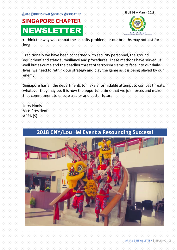**ASIAN PROFESSIONAL SECURITY ASSOCIATION ISSUE 03 – March <sup>2018</sup>**

## **SINGAPORE CHAPTER** NEWSLETTER



rethink the way we combat the security problem, or our breaths may not last for long.

Traditionally we have been concerned with security personnel, the ground equipment and static surveillance and procedures. These methods have served us well but as crime and the deadlier threat of terrorism slams its face into our daily lives, we need to rethink our strategy and play the game as it is being played by our enemy.

Singapore has all the departments to make a formidable attempt to combat threats, whatever they may be. It is now the opportune time that we join forces and make that commitment to ensure a safer and better future.

Jerry Nonis Vice-President APSA (S)

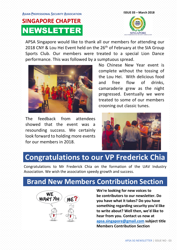### **ASIAN PROFESSIONAL SECURITY ASSOCIATION ISSUE 03 – March <sup>2018</sup>**

## **SINGAPORE CHAPTER** NEWSLETTER



APSA Singapore would like to thank all our members for attending our 2018 CNY & Lou Hei Event held on the 26<sup>th</sup> of February at the SIA Group Sports Club. Our members were treated to a special Lion Dance performance. This was followed by a sumptuous spread.



The feedback from attendees showed that the event was a resounding success. We certainly look forward to holding more events for our members in 2018.

No Chinese New Year event is complete without the tossing of the Lou Hei. With delicious food and free flow of drinks, camaraderie grew as the night progressed. Eventually we were treated to some of our members crooning out classic tunes.



### **Congratulations to our VP Frederick Chia**

Congratulations to Mr Frederick Chia on the formation of the UAV Industry Association. We wish the association speedy growth and success.

### **Brand New Members Contribution Section**



**We're looking for new voices to be contributors to our newsletter. Do you have what it takes? Do you have something regarding security you'd like to write about? Well then, we'd like to hear from you. Contact us now at [apsa.singapore@gmail.com](mailto:apsa.singapore@gmail.com) subject title Members Contribution Section**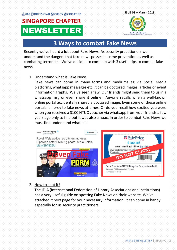# **SINGAPORE CHAPTER** NEWSLETTER



### **3 Ways to combat Fake News**

Recently we've heard a lot about Fake News. As security practitioners we understand the dangers that fake news posses in crime prevention as well as combating terrorism. We've decided to come up with 3 useful tips to combat fake news.

#### 1. Understand what is Fake News

Fake news can come in many forms and mediums eg via Social Media platforms, whatsapp messages etc. It can be doctored images, articles or event information graphs. We've seen a few. Our friends might send them to us in a whatsapp msg or even share it online. Anyone recalls when a well-known online portal accidentally shared a doctored image. Even some of these online portals fall prey to fake news at times. Or do you recall how excited you were when you received a \$100 NTUC voucher via whatsapp from your friends a few years ago only to find out it was also a hoax. In order to combat Fake News we must first understand what it is.



#### 2. How to spot it?

The IFLA (International Federation of Library Associations and Institutions) has a very useful guide on spotting Fake News on their website. We've attached it next page for your necessary information. It can come in handy especially for us security practitioners.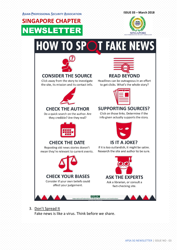**SINGAPORE CHAPTER**

NEWSLETTER



# **HOW TO SPOT FAKE NEWS**



#### **CONSIDER THE SOURCE**

Click away from the story to investigate the site, its mission and its contact info.



#### **CHECK THE AUTHOR**

Do a quick search on the author. Are they credible? Are they real?



#### **CHECK THE DATE**

Reposting old news stories doesn't mean they're relevant to current events.





Headlines can be outrageous in an effort to get clicks. What's the whole story?



#### **SUPPORTING SOURCES?**

Click on those links. Determine if the info given actually supports the story.



#### If it is too outlandish, it might be satire. Research the site and author to be sure.

### **ASK THE EXPERTS**

Ask a librarian, or consult a fact-checking site.



3. Don't Spread It Fake news is like a virus. Think before we share.